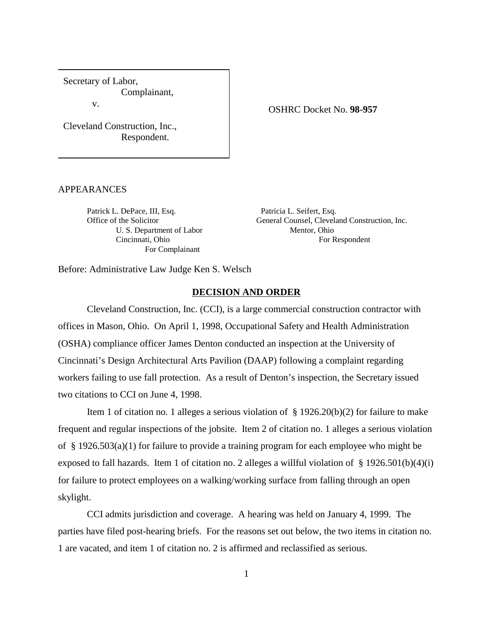Secretary of Labor, Complainant, v.

Cleveland Construction, Inc., Respondent.

#### APPEARANCES

Patrick L. DePace, III, Esq. Patricia L. Seifert, Esq. U. S. Department of Labor Mentor, Ohio For Complainant

OSHRC Docket No. **98-957**

Office of the Solicitor General Counsel, Cleveland Construction, Inc. Cincinnati, Ohio For Respondent

Before: Administrative Law Judge Ken S. Welsch

#### **DECISION AND ORDER**

Cleveland Construction, Inc. (CCI), is a large commercial construction contractor with offices in Mason, Ohio. On April 1, 1998, Occupational Safety and Health Administration (OSHA) compliance officer James Denton conducted an inspection at the University of Cincinnati's Design Architectural Arts Pavilion (DAAP) following a complaint regarding workers failing to use fall protection. As a result of Denton's inspection, the Secretary issued two citations to CCI on June 4, 1998.

Item 1 of citation no. 1 alleges a serious violation of  $\S$  1926.20(b)(2) for failure to make frequent and regular inspections of the jobsite. Item 2 of citation no. 1 alleges a serious violation of § 1926.503(a)(1) for failure to provide a training program for each employee who might be exposed to fall hazards. Item 1 of citation no. 2 alleges a willful violation of  $\S$  1926.501(b)(4)(i) for failure to protect employees on a walking/working surface from falling through an open skylight.

CCI admits jurisdiction and coverage. A hearing was held on January 4, 1999. The parties have filed post-hearing briefs. For the reasons set out below, the two items in citation no. 1 are vacated, and item 1 of citation no. 2 is affirmed and reclassified as serious.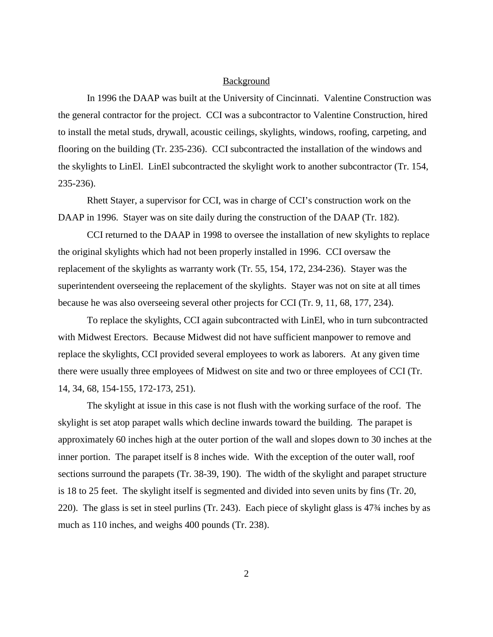#### Background

In 1996 the DAAP was built at the University of Cincinnati. Valentine Construction was the general contractor for the project. CCI was a subcontractor to Valentine Construction, hired to install the metal studs, drywall, acoustic ceilings, skylights, windows, roofing, carpeting, and flooring on the building (Tr. 235-236). CCI subcontracted the installation of the windows and the skylights to LinEl. LinEl subcontracted the skylight work to another subcontractor (Tr. 154, 235-236).

Rhett Stayer, a supervisor for CCI, was in charge of CCI's construction work on the DAAP in 1996. Stayer was on site daily during the construction of the DAAP (Tr. 182).

CCI returned to the DAAP in 1998 to oversee the installation of new skylights to replace the original skylights which had not been properly installed in 1996. CCI oversaw the replacement of the skylights as warranty work (Tr. 55, 154, 172, 234-236). Stayer was the superintendent overseeing the replacement of the skylights. Stayer was not on site at all times because he was also overseeing several other projects for CCI (Tr. 9, 11, 68, 177, 234).

To replace the skylights, CCI again subcontracted with LinEl, who in turn subcontracted with Midwest Erectors. Because Midwest did not have sufficient manpower to remove and replace the skylights, CCI provided several employees to work as laborers. At any given time there were usually three employees of Midwest on site and two or three employees of CCI (Tr. 14, 34, 68, 154-155, 172-173, 251).

The skylight at issue in this case is not flush with the working surface of the roof. The skylight is set atop parapet walls which decline inwards toward the building. The parapet is approximately 60 inches high at the outer portion of the wall and slopes down to 30 inches at the inner portion. The parapet itself is 8 inches wide. With the exception of the outer wall, roof sections surround the parapets (Tr. 38-39, 190). The width of the skylight and parapet structure is 18 to 25 feet. The skylight itself is segmented and divided into seven units by fins (Tr. 20, 220). The glass is set in steel purlins (Tr. 243). Each piece of skylight glass is 47¾ inches by as much as 110 inches, and weighs 400 pounds (Tr. 238).

2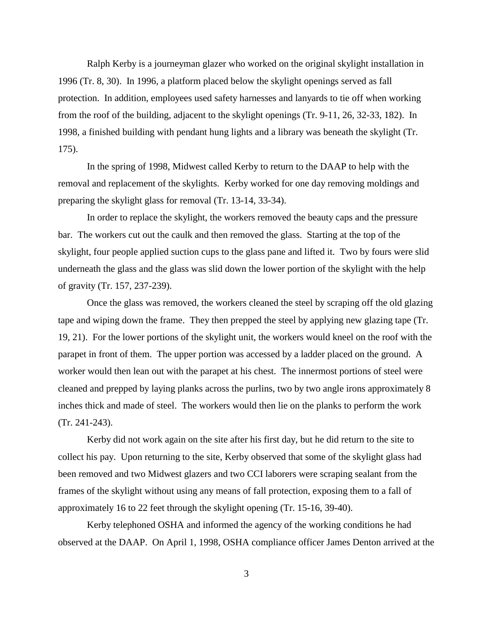Ralph Kerby is a journeyman glazer who worked on the original skylight installation in 1996 (Tr. 8, 30). In 1996, a platform placed below the skylight openings served as fall protection. In addition, employees used safety harnesses and lanyards to tie off when working from the roof of the building, adjacent to the skylight openings (Tr. 9-11, 26, 32-33, 182). In 1998, a finished building with pendant hung lights and a library was beneath the skylight (Tr. 175).

In the spring of 1998, Midwest called Kerby to return to the DAAP to help with the removal and replacement of the skylights. Kerby worked for one day removing moldings and preparing the skylight glass for removal (Tr. 13-14, 33-34).

In order to replace the skylight, the workers removed the beauty caps and the pressure bar. The workers cut out the caulk and then removed the glass. Starting at the top of the skylight, four people applied suction cups to the glass pane and lifted it. Two by fours were slid underneath the glass and the glass was slid down the lower portion of the skylight with the help of gravity (Tr. 157, 237-239).

Once the glass was removed, the workers cleaned the steel by scraping off the old glazing tape and wiping down the frame. They then prepped the steel by applying new glazing tape (Tr. 19, 21). For the lower portions of the skylight unit, the workers would kneel on the roof with the parapet in front of them. The upper portion was accessed by a ladder placed on the ground. A worker would then lean out with the parapet at his chest. The innermost portions of steel were cleaned and prepped by laying planks across the purlins, two by two angle irons approximately 8 inches thick and made of steel. The workers would then lie on the planks to perform the work (Tr. 241-243).

Kerby did not work again on the site after his first day, but he did return to the site to collect his pay. Upon returning to the site, Kerby observed that some of the skylight glass had been removed and two Midwest glazers and two CCI laborers were scraping sealant from the frames of the skylight without using any means of fall protection, exposing them to a fall of approximately 16 to 22 feet through the skylight opening (Tr. 15-16, 39-40).

Kerby telephoned OSHA and informed the agency of the working conditions he had observed at the DAAP. On April 1, 1998, OSHA compliance officer James Denton arrived at the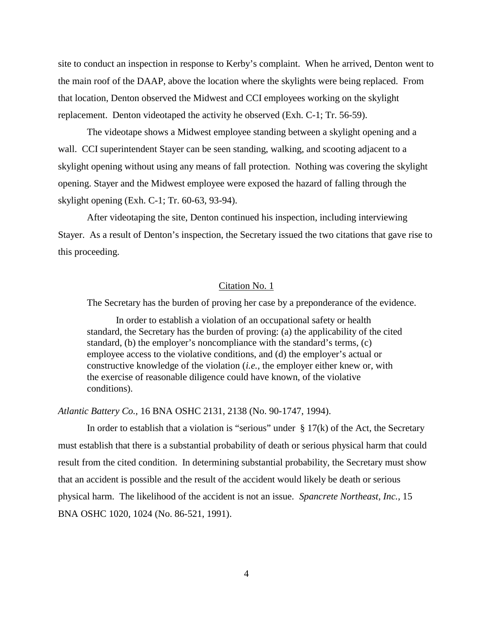site to conduct an inspection in response to Kerby's complaint. When he arrived, Denton went to the main roof of the DAAP, above the location where the skylights were being replaced. From that location, Denton observed the Midwest and CCI employees working on the skylight replacement. Denton videotaped the activity he observed (Exh. C-1; Tr. 56-59).

The videotape shows a Midwest employee standing between a skylight opening and a wall. CCI superintendent Stayer can be seen standing, walking, and scooting adjacent to a skylight opening without using any means of fall protection. Nothing was covering the skylight opening. Stayer and the Midwest employee were exposed the hazard of falling through the skylight opening (Exh. C-1; Tr. 60-63, 93-94).

After videotaping the site, Denton continued his inspection, including interviewing Stayer. As a result of Denton's inspection, the Secretary issued the two citations that gave rise to this proceeding.

#### Citation No. 1

The Secretary has the burden of proving her case by a preponderance of the evidence.

In order to establish a violation of an occupational safety or health standard, the Secretary has the burden of proving: (a) the applicability of the cited standard, (b) the employer's noncompliance with the standard's terms, (c) employee access to the violative conditions, and (d) the employer's actual or constructive knowledge of the violation (*i.e.,* the employer either knew or, with the exercise of reasonable diligence could have known, of the violative conditions).

*Atlantic Battery Co.,* 16 BNA OSHC 2131, 2138 (No. 90-1747, 1994).

In order to establish that a violation is "serious" under  $\S 17(k)$  of the Act, the Secretary must establish that there is a substantial probability of death or serious physical harm that could result from the cited condition. In determining substantial probability, the Secretary must show that an accident is possible and the result of the accident would likely be death or serious physical harm. The likelihood of the accident is not an issue. *Spancrete Northeast, Inc.,* 15 BNA OSHC 1020, 1024 (No. 86-521, 1991).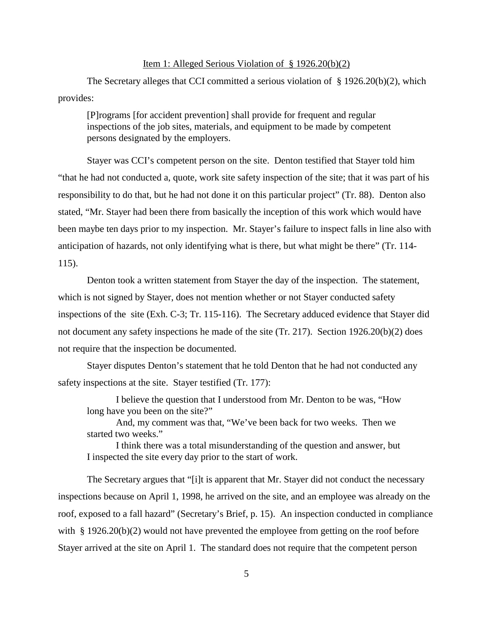## Item 1: Alleged Serious Violation of § 1926.20(b)(2)

The Secretary alleges that CCI committed a serious violation of § 1926.20(b)(2), which provides:

[P]rograms [for accident prevention] shall provide for frequent and regular inspections of the job sites, materials, and equipment to be made by competent persons designated by the employers.

Stayer was CCI's competent person on the site. Denton testified that Stayer told him "that he had not conducted a, quote, work site safety inspection of the site; that it was part of his responsibility to do that, but he had not done it on this particular project" (Tr. 88). Denton also stated, "Mr. Stayer had been there from basically the inception of this work which would have been maybe ten days prior to my inspection. Mr. Stayer's failure to inspect falls in line also with anticipation of hazards, not only identifying what is there, but what might be there" (Tr. 114- 115).

Denton took a written statement from Stayer the day of the inspection. The statement, which is not signed by Stayer, does not mention whether or not Stayer conducted safety inspections of the site (Exh. C-3; Tr. 115-116). The Secretary adduced evidence that Stayer did not document any safety inspections he made of the site (Tr. 217). Section 1926.20(b)(2) does not require that the inspection be documented.

Stayer disputes Denton's statement that he told Denton that he had not conducted any safety inspections at the site. Stayer testified (Tr. 177):

I believe the question that I understood from Mr. Denton to be was, "How long have you been on the site?"

And, my comment was that, "We've been back for two weeks. Then we started two weeks."

I think there was a total misunderstanding of the question and answer, but I inspected the site every day prior to the start of work.

The Secretary argues that "[i]t is apparent that Mr. Stayer did not conduct the necessary inspections because on April 1, 1998, he arrived on the site, and an employee was already on the roof, exposed to a fall hazard" (Secretary's Brief, p. 15). An inspection conducted in compliance with § 1926.20(b)(2) would not have prevented the employee from getting on the roof before Stayer arrived at the site on April 1. The standard does not require that the competent person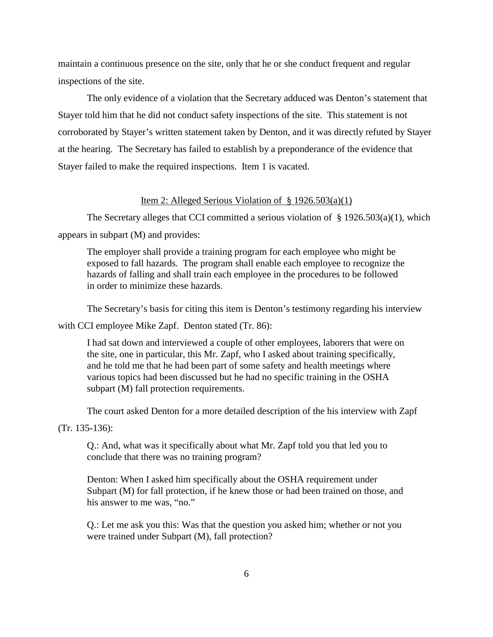maintain a continuous presence on the site, only that he or she conduct frequent and regular inspections of the site.

The only evidence of a violation that the Secretary adduced was Denton's statement that Stayer told him that he did not conduct safety inspections of the site. This statement is not corroborated by Stayer's written statement taken by Denton, and it was directly refuted by Stayer at the hearing. The Secretary has failed to establish by a preponderance of the evidence that Stayer failed to make the required inspections. Item 1 is vacated.

# Item 2: Alleged Serious Violation of  $\S$  1926.503(a)(1)

The Secretary alleges that CCI committed a serious violation of  $\S 1926.503(a)(1)$ , which appears in subpart (M) and provides:

The employer shall provide a training program for each employee who might be exposed to fall hazards. The program shall enable each employee to recognize the hazards of falling and shall train each employee in the procedures to be followed in order to minimize these hazards.

The Secretary's basis for citing this item is Denton's testimony regarding his interview

with CCI employee Mike Zapf. Denton stated (Tr. 86):

I had sat down and interviewed a couple of other employees, laborers that were on the site, one in particular, this Mr. Zapf, who I asked about training specifically, and he told me that he had been part of some safety and health meetings where various topics had been discussed but he had no specific training in the OSHA subpart (M) fall protection requirements.

The court asked Denton for a more detailed description of the his interview with Zapf

(Tr. 135-136):

Q.: And, what was it specifically about what Mr. Zapf told you that led you to conclude that there was no training program?

Denton: When I asked him specifically about the OSHA requirement under Subpart (M) for fall protection, if he knew those or had been trained on those, and his answer to me was, "no."

Q.: Let me ask you this: Was that the question you asked him; whether or not you were trained under Subpart (M), fall protection?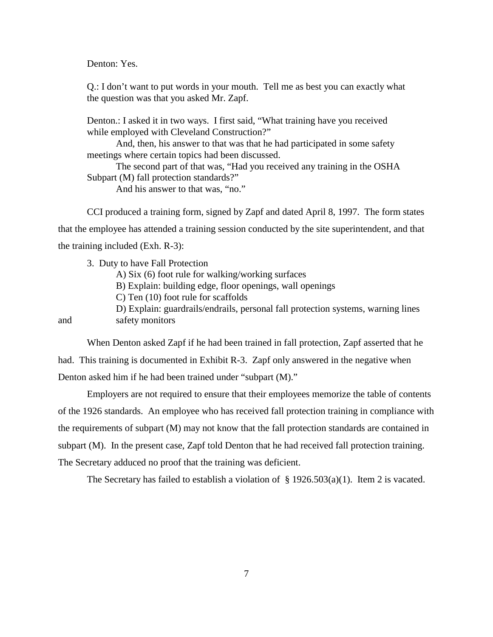Denton: Yes.

Q.: I don't want to put words in your mouth. Tell me as best you can exactly what the question was that you asked Mr. Zapf.

Denton.: I asked it in two ways. I first said, "What training have you received while employed with Cleveland Construction?"

And, then, his answer to that was that he had participated in some safety meetings where certain topics had been discussed.

The second part of that was, "Had you received any training in the OSHA Subpart (M) fall protection standards?"

And his answer to that was, "no."

CCI produced a training form, signed by Zapf and dated April 8, 1997. The form states that the employee has attended a training session conducted by the site superintendent, and that the training included (Exh. R-3):

3. Duty to have Fall Protection

A) Six (6) foot rule for walking/working surfaces

B) Explain: building edge, floor openings, wall openings

C) Ten (10) foot rule for scaffolds

D) Explain: guardrails/endrails, personal fall protection systems, warning lines and safety monitors

When Denton asked Zapf if he had been trained in fall protection, Zapf asserted that he had. This training is documented in Exhibit R-3. Zapf only answered in the negative when Denton asked him if he had been trained under "subpart (M)."

Employers are not required to ensure that their employees memorize the table of contents of the 1926 standards. An employee who has received fall protection training in compliance with the requirements of subpart (M) may not know that the fall protection standards are contained in subpart (M). In the present case, Zapf told Denton that he had received fall protection training. The Secretary adduced no proof that the training was deficient.

The Secretary has failed to establish a violation of  $\S$  1926.503(a)(1). Item 2 is vacated.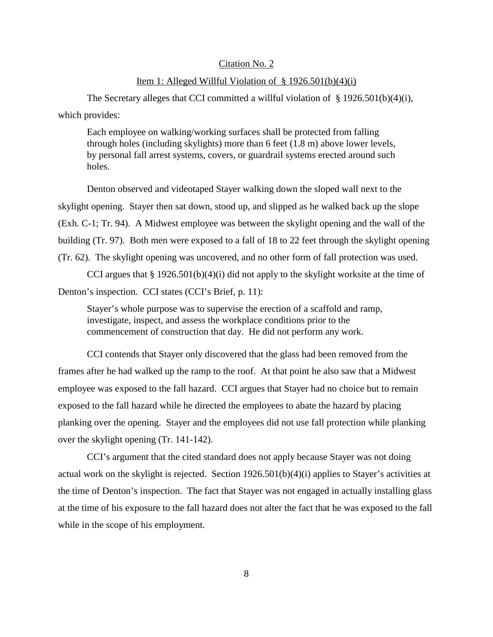## Citation No. 2

#### Item 1: Alleged Willful Violation of  $\S$  1926.501(b)(4)(i)

The Secretary alleges that CCI committed a willful violation of  $\S 1926.501(b)(4)(i)$ , which provides:

Each employee on walking/working surfaces shall be protected from falling through holes (including skylights) more than 6 feet (1.8 m) above lower levels, by personal fall arrest systems, covers, or guardrail systems erected around such holes.

Denton observed and videotaped Stayer walking down the sloped wall next to the skylight opening. Stayer then sat down, stood up, and slipped as he walked back up the slope (Exh. C-1; Tr. 94). A Midwest employee was between the skylight opening and the wall of the building (Tr. 97). Both men were exposed to a fall of 18 to 22 feet through the skylight opening (Tr. 62). The skylight opening was uncovered, and no other form of fall protection was used.

CCI argues that  $\S 1926.501(b)(4)(i)$  did not apply to the skylight worksite at the time of Denton's inspection. CCI states (CCI's Brief, p. 11):

Stayer's whole purpose was to supervise the erection of a scaffold and ramp, investigate, inspect, and assess the workplace conditions prior to the commencement of construction that day. He did not perform any work.

CCI contends that Stayer only discovered that the glass had been removed from the frames after he had walked up the ramp to the roof. At that point he also saw that a Midwest employee was exposed to the fall hazard. CCI argues that Stayer had no choice but to remain exposed to the fall hazard while he directed the employees to abate the hazard by placing planking over the opening. Stayer and the employees did not use fall protection while planking over the skylight opening (Tr. 141-142).

CCI's argument that the cited standard does not apply because Stayer was not doing actual work on the skylight is rejected. Section 1926.501(b)(4)(i) applies to Stayer's activities at the time of Denton's inspection. The fact that Stayer was not engaged in actually installing glass at the time of his exposure to the fall hazard does not alter the fact that he was exposed to the fall while in the scope of his employment.

8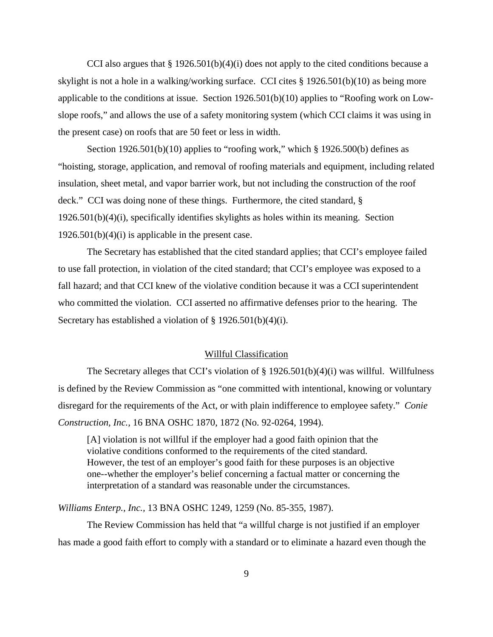CCI also argues that  $\S 1926.501(b)(4)(i)$  does not apply to the cited conditions because a skylight is not a hole in a walking/working surface. CCI cites § 1926.501(b)(10) as being more applicable to the conditions at issue. Section 1926.501(b)(10) applies to "Roofing work on Lowslope roofs," and allows the use of a safety monitoring system (which CCI claims it was using in the present case) on roofs that are 50 feet or less in width.

Section  $1926.501(b)(10)$  applies to "roofing work," which § 1926.500(b) defines as "hoisting, storage, application, and removal of roofing materials and equipment, including related insulation, sheet metal, and vapor barrier work, but not including the construction of the roof deck." CCI was doing none of these things. Furthermore, the cited standard, § 1926.501(b)(4)(i), specifically identifies skylights as holes within its meaning. Section  $1926.501(b)(4)(i)$  is applicable in the present case.

The Secretary has established that the cited standard applies; that CCI's employee failed to use fall protection, in violation of the cited standard; that CCI's employee was exposed to a fall hazard; and that CCI knew of the violative condition because it was a CCI superintendent who committed the violation. CCI asserted no affirmative defenses prior to the hearing. The Secretary has established a violation of § 1926.501(b)(4)(i).

## Willful Classification

The Secretary alleges that CCI's violation of  $\S 1926.501(b)(4)(i)$  was willful. Willfulness is defined by the Review Commission as "one committed with intentional, knowing or voluntary disregard for the requirements of the Act, or with plain indifference to employee safety." *Conie Construction, Inc.,* 16 BNA OSHC 1870, 1872 (No. 92-0264, 1994).

[A] violation is not willful if the employer had a good faith opinion that the violative conditions conformed to the requirements of the cited standard. However, the test of an employer's good faith for these purposes is an objective one--whether the employer's belief concerning a factual matter or concerning the interpretation of a standard was reasonable under the circumstances.

*Williams Enterp., Inc.,* 13 BNA OSHC 1249, 1259 (No. 85-355, 1987).

The Review Commission has held that "a willful charge is not justified if an employer has made a good faith effort to comply with a standard or to eliminate a hazard even though the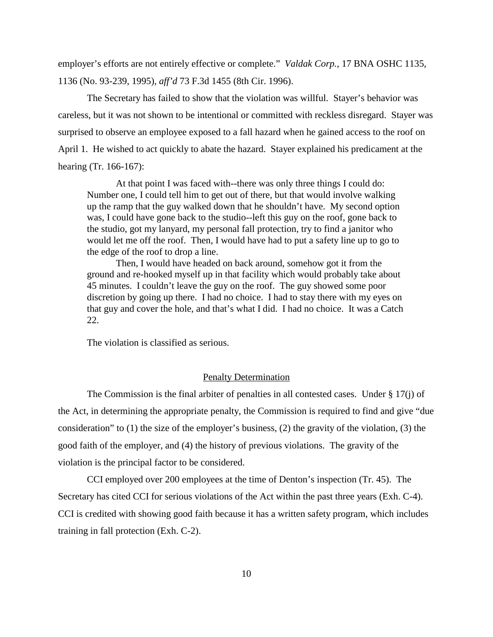employer's efforts are not entirely effective or complete." *Valdak Corp.,* 17 BNA OSHC 1135, 1136 (No. 93-239, 1995), *aff'd* 73 F.3d 1455 (8th Cir. 1996).

The Secretary has failed to show that the violation was willful. Stayer's behavior was careless, but it was not shown to be intentional or committed with reckless disregard. Stayer was surprised to observe an employee exposed to a fall hazard when he gained access to the roof on April 1. He wished to act quickly to abate the hazard. Stayer explained his predicament at the hearing (Tr. 166-167):

At that point I was faced with--there was only three things I could do: Number one, I could tell him to get out of there, but that would involve walking up the ramp that the guy walked down that he shouldn't have. My second option was, I could have gone back to the studio--left this guy on the roof, gone back to the studio, got my lanyard, my personal fall protection, try to find a janitor who would let me off the roof. Then, I would have had to put a safety line up to go to the edge of the roof to drop a line.

Then, I would have headed on back around, somehow got it from the ground and re-hooked myself up in that facility which would probably take about 45 minutes. I couldn't leave the guy on the roof. The guy showed some poor discretion by going up there. I had no choice. I had to stay there with my eyes on that guy and cover the hole, and that's what I did. I had no choice. It was a Catch 22.

The violation is classified as serious.

# Penalty Determination

The Commission is the final arbiter of penalties in all contested cases. Under  $\S 17(i)$  of the Act, in determining the appropriate penalty, the Commission is required to find and give "due consideration" to (1) the size of the employer's business, (2) the gravity of the violation, (3) the good faith of the employer, and (4) the history of previous violations. The gravity of the violation is the principal factor to be considered.

CCI employed over 200 employees at the time of Denton's inspection (Tr. 45). The Secretary has cited CCI for serious violations of the Act within the past three years (Exh. C-4). CCI is credited with showing good faith because it has a written safety program, which includes training in fall protection (Exh. C-2).